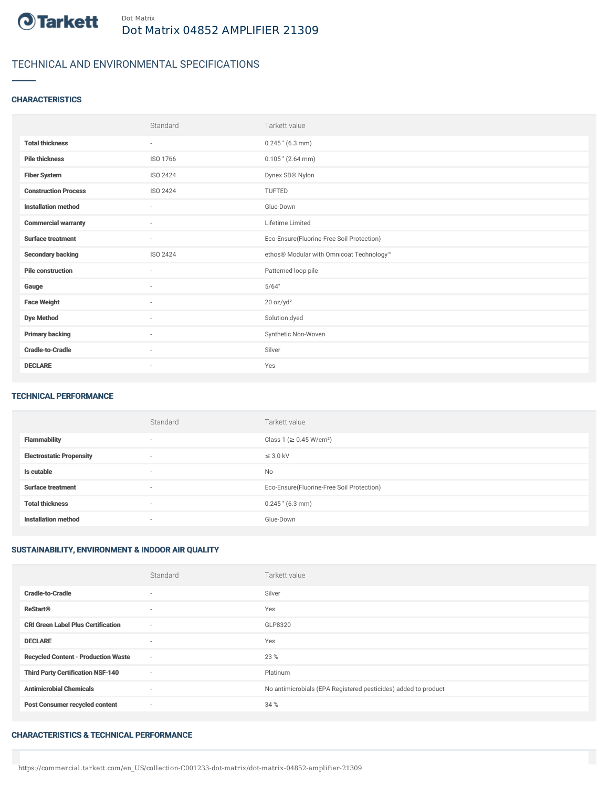

# TECHNICAL AND ENVIRONMENTAL SPECIFICATIONS

### **CHARACTERISTICS**

|                             | Standard        | Tarkett value                             |
|-----------------------------|-----------------|-------------------------------------------|
| <b>Total thickness</b>      | $\sim$          | $0.245$ " $(6.3$ mm)                      |
| <b>Pile thickness</b>       | ISO 1766        | $0.105$ " (2.64 mm)                       |
| <b>Fiber System</b>         | ISO 2424        | Dynex SD® Nylon                           |
| <b>Construction Process</b> | ISO 2424        | TUFTED                                    |
| <b>Installation method</b>  | $\sim$          | Glue-Down                                 |
| <b>Commercial warranty</b>  | $\sim$          | Lifetime Limited                          |
| <b>Surface treatment</b>    | ٠               | Eco-Ensure(Fluorine-Free Soil Protection) |
| <b>Secondary backing</b>    | <b>ISO 2424</b> | ethos® Modular with Omnicoat Technology™  |
| <b>Pile construction</b>    | $\sim$          | Patterned loop pile                       |
| Gauge                       | ٠               | 5/64"                                     |
| <b>Face Weight</b>          | ٠               | 20 oz/yd <sup>2</sup>                     |
| <b>Dye Method</b>           | $\sim$          | Solution dyed                             |
| <b>Primary backing</b>      | $\sim$          | Synthetic Non-Woven                       |
| <b>Cradle-to-Cradle</b>     | ×               | Silver                                    |
| <b>DECLARE</b>              | ٠               | Yes                                       |

#### TECHNICAL PERFORMANCE

|                                 | Standard                 | Tarkett value                             |
|---------------------------------|--------------------------|-------------------------------------------|
| <b>Flammability</b>             | $\overline{\phantom{a}}$ | Class 1 (≥ 0.45 W/cm <sup>2</sup> )       |
| <b>Electrostatic Propensity</b> | $\overline{\phantom{a}}$ | $\leq$ 3.0 kV                             |
| Is cutable                      | $\overline{\phantom{a}}$ | No                                        |
| <b>Surface treatment</b>        | $\overline{\phantom{a}}$ | Eco-Ensure(Fluorine-Free Soil Protection) |
| <b>Total thickness</b>          | $\overline{\phantom{a}}$ | $0.245$ " (6.3 mm)                        |
| <b>Installation method</b>      | $\overline{\phantom{a}}$ | Glue-Down                                 |

### SUSTAINABILITY, ENVIRONMENT & INDOOR AIR QUALITY

|                                            | Standard                 | Tarkett value                                                  |
|--------------------------------------------|--------------------------|----------------------------------------------------------------|
| <b>Cradle-to-Cradle</b>                    | $\overline{\phantom{a}}$ | Silver                                                         |
| <b>ReStart®</b>                            | $\sim$                   | Yes                                                            |
| <b>CRI Green Label Plus Certification</b>  | $\sim$                   | GLP8320                                                        |
| <b>DECLARE</b>                             | $\overline{\phantom{a}}$ | Yes                                                            |
| <b>Recycled Content - Production Waste</b> | $\sim$                   | 23 %                                                           |
| <b>Third Party Certification NSF-140</b>   | $\sim$                   | Platinum                                                       |
| <b>Antimicrobial Chemicals</b>             | ٠                        | No antimicrobials (EPA Registered pesticides) added to product |
| <b>Post Consumer recycled content</b>      | $\sim$                   | 34 %                                                           |

#### CHARACTERISTICS & TECHNICAL PERFORMANCE